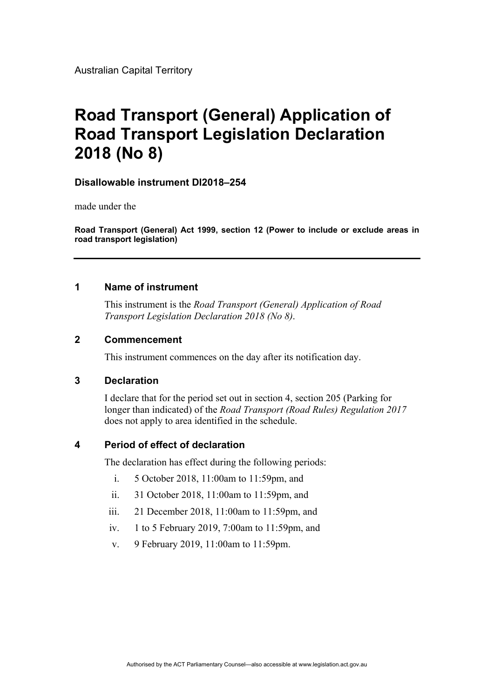Australian Capital Territory

# **Road Transport (General) Application of Road Transport Legislation Declaration 2018 (No 8)**

### **Disallowable instrument DI2018–254**

made under the

**Road Transport (General) Act 1999, section 12 (Power to include or exclude areas in road transport legislation)**

# **1 Name of instrument**

This instrument is the *Road Transport (General) Application of Road Transport Legislation Declaration 2018 (No 8)*.

# **2 Commencement**

This instrument commences on the day after its notification day.

#### **3 Declaration**

I declare that for the period set out in section 4, section 205 (Parking for longer than indicated) of the *Road Transport (Road Rules) Regulation 2017*  does not apply to area identified in the schedule.

### **4 Period of effect of declaration**

The declaration has effect during the following periods:

- i. 5 October 2018, 11:00am to 11:59pm, and
- ii. 31 October 2018, 11:00am to 11:59pm, and
- iii. 21 December 2018, 11:00am to 11:59pm, and
- iv. 1 to 5 February 2019, 7:00am to 11:59pm, and
- v. 9 February 2019, 11:00am to 11:59pm.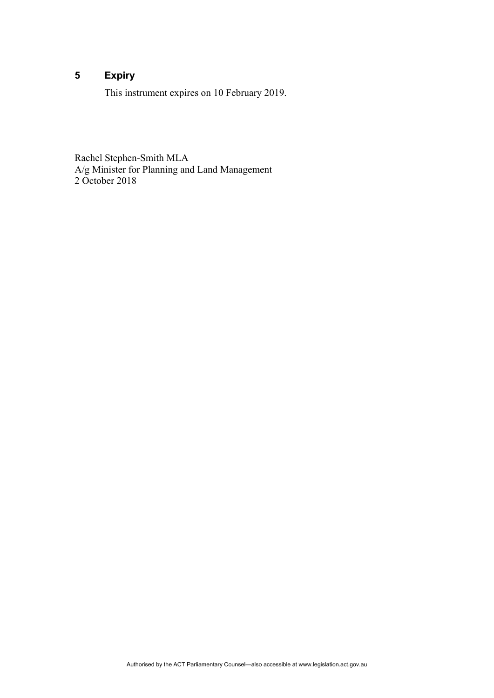# **5 Expiry**

This instrument expires on 10 February 2019.

Rachel Stephen-Smith MLA A/g Minister for Planning and Land Management 2 October 2018